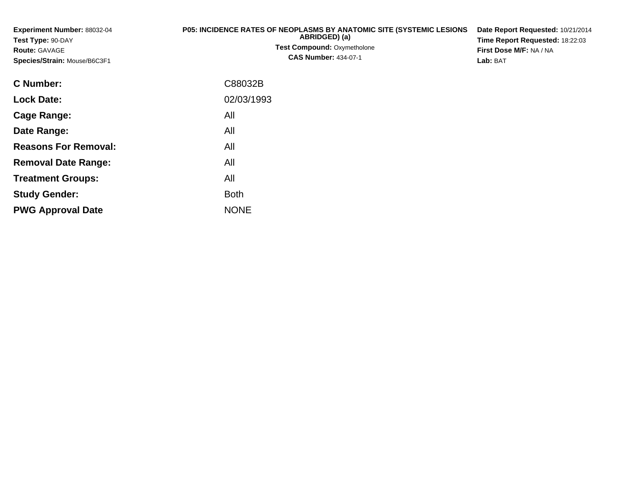**Experiment Number:** 88032-04**Test Type:** 90-DAY**Route:** GAVAGE **Species/Strain:** Mouse/B6C3F1**P05: INCIDENCE RATES OF NEOPLASMS BY ANATOMIC SITE (SYSTEMIC LESIONS ABRIDGED) (a) Test Compound:** Oxymetholone**CAS Number:** 434-07-1**Date Report Requested:** 10/21/2014**Time Report Requested:** 18:22:03**First Dose M/F:** NA / NA**Lab:** BAT**C Number:**C88032B

| C Number։                   | C88032B     |
|-----------------------------|-------------|
| <b>Lock Date:</b>           | 02/03/1993  |
| Cage Range:                 | All         |
| Date Range:                 | All         |
| <b>Reasons For Removal:</b> | All         |
| <b>Removal Date Range:</b>  | All         |
| <b>Treatment Groups:</b>    | All         |
| <b>Study Gender:</b>        | <b>Both</b> |
| <b>PWG Approval Date</b>    | <b>NONE</b> |
|                             |             |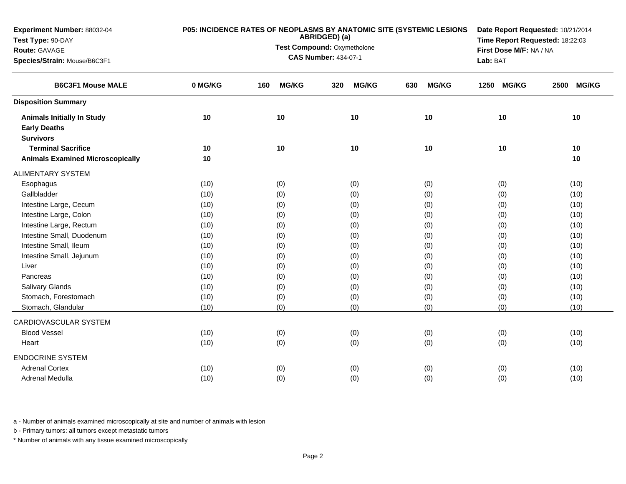| Experiment Number: 88032-04             | P05: INCIDENCE RATES OF NEOPLASMS BY ANATOMIC SITE (SYSTEMIC LESIONS | Date Report Requested: 10/21/2014 |                                 |                     |                      |                      |  |
|-----------------------------------------|----------------------------------------------------------------------|-----------------------------------|---------------------------------|---------------------|----------------------|----------------------|--|
| Test Type: 90-DAY                       |                                                                      | ABRIDGED) (a)                     | Time Report Requested: 18:22:03 |                     |                      |                      |  |
| Route: GAVAGE                           |                                                                      | Test Compound: Oxymetholone       | First Dose M/F: NA / NA         |                     |                      |                      |  |
| Species/Strain: Mouse/B6C3F1            |                                                                      |                                   | <b>CAS Number: 434-07-1</b>     |                     | Lab: BAT             |                      |  |
| <b>B6C3F1 Mouse MALE</b>                | 0 MG/KG                                                              | <b>MG/KG</b><br>160               | <b>MG/KG</b><br>320             | <b>MG/KG</b><br>630 | <b>MG/KG</b><br>1250 | <b>MG/KG</b><br>2500 |  |
| <b>Disposition Summary</b>              |                                                                      |                                   |                                 |                     |                      |                      |  |
| <b>Animals Initially In Study</b>       | 10                                                                   | 10                                | 10                              | 10                  | 10                   | 10                   |  |
| <b>Early Deaths</b>                     |                                                                      |                                   |                                 |                     |                      |                      |  |
| <b>Survivors</b>                        |                                                                      |                                   |                                 |                     |                      |                      |  |
| <b>Terminal Sacrifice</b>               | 10                                                                   | 10                                | 10                              | 10                  | 10                   | 10                   |  |
| <b>Animals Examined Microscopically</b> | 10                                                                   |                                   |                                 |                     |                      | 10                   |  |
| <b>ALIMENTARY SYSTEM</b>                |                                                                      |                                   |                                 |                     |                      |                      |  |
| Esophagus                               | (10)                                                                 | (0)                               | (0)                             | (0)                 | (0)                  | (10)                 |  |
| Gallbladder                             | (10)                                                                 | (0)                               | (0)                             | (0)                 | (0)                  | (10)                 |  |
| Intestine Large, Cecum                  | (10)                                                                 | (0)                               | (0)                             | (0)                 | (0)                  | (10)                 |  |
| Intestine Large, Colon                  | (10)                                                                 | (0)                               | (0)                             | (0)                 | (0)                  | (10)                 |  |
| Intestine Large, Rectum                 | (10)                                                                 | (0)                               | (0)                             | (0)                 | (0)                  | (10)                 |  |
| Intestine Small, Duodenum               | (10)                                                                 | (0)                               | (0)                             | (0)                 | (0)                  | (10)                 |  |
| Intestine Small, Ileum                  | (10)                                                                 | (0)                               | (0)                             | (0)                 | (0)                  | (10)                 |  |
| Intestine Small, Jejunum                | (10)                                                                 | (0)                               | (0)                             | (0)                 | (0)                  | (10)                 |  |
| Liver                                   | (10)                                                                 | (0)                               | (0)                             | (0)                 | (0)                  | (10)                 |  |
| Pancreas                                | (10)                                                                 | (0)                               | (0)                             | (0)                 | (0)                  | (10)                 |  |
| <b>Salivary Glands</b>                  | (10)                                                                 | (0)                               | (0)                             | (0)                 | (0)                  | (10)                 |  |
| Stomach, Forestomach                    | (10)                                                                 | (0)                               | (0)                             | (0)                 | (0)                  | (10)                 |  |
| Stomach, Glandular                      | (10)                                                                 | (0)                               | (0)                             | (0)                 | (0)                  | (10)                 |  |
| CARDIOVASCULAR SYSTEM                   |                                                                      |                                   |                                 |                     |                      |                      |  |
| <b>Blood Vessel</b>                     | (10)                                                                 | (0)                               | (0)                             | (0)                 | (0)                  | (10)                 |  |
| Heart                                   | (10)                                                                 | (0)                               | (0)                             | (0)                 | (0)                  | (10)                 |  |
| <b>ENDOCRINE SYSTEM</b>                 |                                                                      |                                   |                                 |                     |                      |                      |  |
| <b>Adrenal Cortex</b>                   | (10)                                                                 | (0)                               | (0)                             | (0)                 | (0)                  | (10)                 |  |
| Adrenal Medulla                         | (10)                                                                 | (0)                               | (0)                             | (0)                 | (0)                  | (10)                 |  |

b - Primary tumors: all tumors except metastatic tumors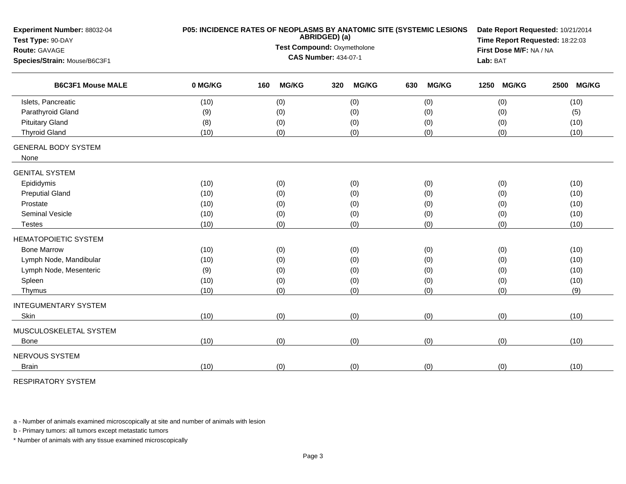| Experiment Number: 88032-04<br>Test Type: 90-DAY         | P05: INCIDENCE RATES OF NEOPLASMS BY ANATOMIC SITE (SYSTEMIC LESIONS | Date Report Requested: 10/21/2014<br>Time Report Requested: 18:22:03 |              |     |              |     |              |      |                         |      |              |  |
|----------------------------------------------------------|----------------------------------------------------------------------|----------------------------------------------------------------------|--------------|-----|--------------|-----|--------------|------|-------------------------|------|--------------|--|
| Route: GAVAGE                                            | ABRIDGED) (a)<br>Test Compound: Oxymetholone                         |                                                                      |              |     |              |     |              |      | First Dose M/F: NA / NA |      |              |  |
| Species/Strain: Mouse/B6C3F1<br><b>B6C3F1 Mouse MALE</b> |                                                                      | <b>CAS Number: 434-07-1</b>                                          |              |     |              |     |              |      |                         |      |              |  |
|                                                          | 0 MG/KG                                                              | 160                                                                  | <b>MG/KG</b> | 320 | <b>MG/KG</b> | 630 | <b>MG/KG</b> | 1250 | <b>MG/KG</b>            | 2500 | <b>MG/KG</b> |  |
| Islets, Pancreatic                                       | (10)                                                                 |                                                                      | (0)          |     | (0)          |     | (0)          |      | (0)                     |      | (10)         |  |
| Parathyroid Gland                                        | (9)                                                                  |                                                                      | (0)          |     | (0)          |     | (0)          |      | (0)                     |      | (5)          |  |
| <b>Pituitary Gland</b>                                   | (8)                                                                  |                                                                      | (0)          |     | (0)          |     | (0)          |      | (0)                     |      | (10)         |  |
| <b>Thyroid Gland</b>                                     | (10)                                                                 |                                                                      | (0)          |     | (0)          |     | (0)          |      | (0)                     |      | (10)         |  |
| <b>GENERAL BODY SYSTEM</b><br>None                       |                                                                      |                                                                      |              |     |              |     |              |      |                         |      |              |  |
| <b>GENITAL SYSTEM</b>                                    |                                                                      |                                                                      |              |     |              |     |              |      |                         |      |              |  |
| Epididymis                                               | (10)                                                                 |                                                                      | (0)          |     | (0)          |     | (0)          |      | (0)                     |      | (10)         |  |
| <b>Preputial Gland</b>                                   | (10)                                                                 |                                                                      | (0)          |     | (0)          |     | (0)          |      | (0)                     |      | (10)         |  |
| Prostate                                                 | (10)                                                                 |                                                                      | (0)          |     | (0)          |     | (0)          |      | (0)                     |      | (10)         |  |
| <b>Seminal Vesicle</b>                                   | (10)                                                                 |                                                                      | (0)          |     | (0)          |     | (0)          |      | (0)                     |      | (10)         |  |
| <b>Testes</b>                                            | (10)                                                                 |                                                                      | (0)          |     | (0)          |     | (0)          |      | (0)                     |      | (10)         |  |
| <b>HEMATOPOIETIC SYSTEM</b>                              |                                                                      |                                                                      |              |     |              |     |              |      |                         |      |              |  |
| <b>Bone Marrow</b>                                       | (10)                                                                 |                                                                      | (0)          |     | (0)          |     | (0)          |      | (0)                     |      | (10)         |  |
| Lymph Node, Mandibular                                   | (10)                                                                 |                                                                      | (0)          |     | (0)          |     | (0)          |      | (0)                     |      | (10)         |  |
| Lymph Node, Mesenteric                                   | (9)                                                                  |                                                                      | (0)          |     | (0)          |     | (0)          |      | (0)                     |      | (10)         |  |
| Spleen                                                   | (10)                                                                 |                                                                      | (0)          |     | (0)          |     | (0)          |      | (0)                     |      | (10)         |  |
| Thymus                                                   | (10)                                                                 |                                                                      | (0)          |     | (0)          |     | (0)          |      | (0)                     |      | (9)          |  |
| <b>INTEGUMENTARY SYSTEM</b>                              |                                                                      |                                                                      |              |     |              |     |              |      |                         |      |              |  |
| Skin                                                     | (10)                                                                 |                                                                      | (0)          |     | (0)          |     | (0)          |      | (0)                     |      | (10)         |  |
| MUSCULOSKELETAL SYSTEM                                   |                                                                      |                                                                      |              |     |              |     |              |      |                         |      |              |  |
| <b>Bone</b>                                              | (10)                                                                 |                                                                      | (0)          |     | (0)          |     | (0)          |      | (0)                     |      | (10)         |  |
| NERVOUS SYSTEM                                           |                                                                      |                                                                      |              |     |              |     |              |      |                         |      |              |  |
| <b>Brain</b>                                             | (10)                                                                 |                                                                      | (0)          |     | (0)          |     | (0)          |      | (0)                     |      | (10)         |  |
|                                                          |                                                                      |                                                                      |              |     |              |     |              |      |                         |      |              |  |

RESPIRATORY SYSTEM

a - Number of animals examined microscopically at site and number of animals with lesion

b - Primary tumors: all tumors except metastatic tumors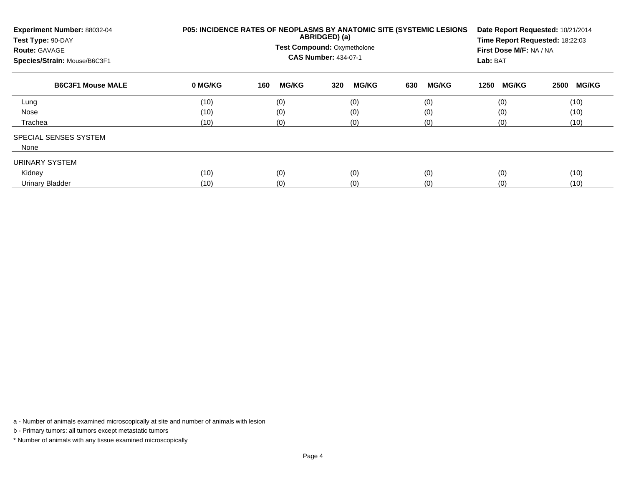| Experiment Number: 88032-04<br>Test Type: 90-DAY<br><b>Route: GAVAGE</b><br>Species/Strain: Mouse/B6C3F1 |         | <b>P05: INCIDENCE RATES OF NEOPLASMS BY ANATOMIC SITE (SYSTEMIC LESIONS)</b><br>ABRIDGED) (a)<br><b>Test Compound: Oxymetholone</b><br><b>CAS Number: 434-07-1</b> | Date Report Requested: 10/21/2014<br>Time Report Requested: 18:22:03<br>First Dose M/F: NA / NA<br>Lab: BAT |                     |                      |                      |
|----------------------------------------------------------------------------------------------------------|---------|--------------------------------------------------------------------------------------------------------------------------------------------------------------------|-------------------------------------------------------------------------------------------------------------|---------------------|----------------------|----------------------|
| <b>B6C3F1 Mouse MALE</b>                                                                                 | 0 MG/KG | <b>MG/KG</b><br>160                                                                                                                                                | <b>MG/KG</b><br>320                                                                                         | <b>MG/KG</b><br>630 | <b>MG/KG</b><br>1250 | <b>MG/KG</b><br>2500 |
| Lung                                                                                                     | (10)    | (0)                                                                                                                                                                | (0)                                                                                                         | (0)                 | (0)                  | (10)                 |
| Nose                                                                                                     | (10)    | (0)                                                                                                                                                                | (0)                                                                                                         | (0)                 | (0)                  | (10)                 |
| Trachea                                                                                                  | (10)    | (0)                                                                                                                                                                | (0)                                                                                                         | (0)                 | (0)                  | (10)                 |
| <b>SPECIAL SENSES SYSTEM</b>                                                                             |         |                                                                                                                                                                    |                                                                                                             |                     |                      |                      |
| None                                                                                                     |         |                                                                                                                                                                    |                                                                                                             |                     |                      |                      |
| URINARY SYSTEM                                                                                           |         |                                                                                                                                                                    |                                                                                                             |                     |                      |                      |
| Kidney                                                                                                   | (10)    | (0)                                                                                                                                                                | (0)                                                                                                         | (0)                 | (0)                  | (10)                 |
| Urinary Bladder                                                                                          | (10)    | (0)                                                                                                                                                                | (0)                                                                                                         | (0)                 | (0)                  | (10)                 |

b - Primary tumors: all tumors except metastatic tumors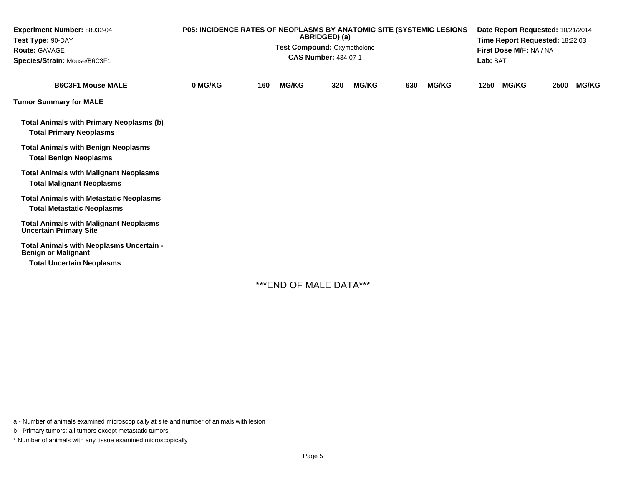| Experiment Number: 88032-04<br>Test Type: 90-DAY<br><b>Route: GAVAGE</b><br>Species/Strain: Mouse/B6C3F1   | <b>P05: INCIDENCE RATES OF NEOPLASMS BY ANATOMIC SITE (SYSTEMIC LESIONS)</b><br>ABRIDGED) (a)<br>Test Compound: Oxymetholone<br><b>CAS Number: 434-07-1</b> |  |  |  |  |  |  |      | Date Report Requested: 10/21/2014<br>Time Report Requested: 18:22:03<br>First Dose M/F: NA / NA<br>Lab: BAT |      |              |  |
|------------------------------------------------------------------------------------------------------------|-------------------------------------------------------------------------------------------------------------------------------------------------------------|--|--|--|--|--|--|------|-------------------------------------------------------------------------------------------------------------|------|--------------|--|
| <b>B6C3F1 Mouse MALE</b>                                                                                   | 0 MG/KG<br><b>MG/KG</b><br><b>MG/KG</b><br><b>MG/KG</b><br>320<br>630<br>160                                                                                |  |  |  |  |  |  | 1250 | <b>MG/KG</b>                                                                                                | 2500 | <b>MG/KG</b> |  |
| <b>Tumor Summary for MALE</b>                                                                              |                                                                                                                                                             |  |  |  |  |  |  |      |                                                                                                             |      |              |  |
| <b>Total Animals with Primary Neoplasms (b)</b><br><b>Total Primary Neoplasms</b>                          |                                                                                                                                                             |  |  |  |  |  |  |      |                                                                                                             |      |              |  |
| <b>Total Animals with Benign Neoplasms</b><br><b>Total Benign Neoplasms</b>                                |                                                                                                                                                             |  |  |  |  |  |  |      |                                                                                                             |      |              |  |
| <b>Total Animals with Malignant Neoplasms</b><br><b>Total Malignant Neoplasms</b>                          |                                                                                                                                                             |  |  |  |  |  |  |      |                                                                                                             |      |              |  |
| <b>Total Animals with Metastatic Neoplasms</b><br><b>Total Metastatic Neoplasms</b>                        |                                                                                                                                                             |  |  |  |  |  |  |      |                                                                                                             |      |              |  |
| <b>Total Animals with Malignant Neoplasms</b><br><b>Uncertain Primary Site</b>                             |                                                                                                                                                             |  |  |  |  |  |  |      |                                                                                                             |      |              |  |
| Total Animals with Neoplasms Uncertain -<br><b>Benign or Malignant</b><br><b>Total Uncertain Neoplasms</b> |                                                                                                                                                             |  |  |  |  |  |  |      |                                                                                                             |      |              |  |

\*\*\*END OF MALE DATA\*\*\*

a - Number of animals examined microscopically at site and number of animals with lesion

b - Primary tumors: all tumors except metastatic tumors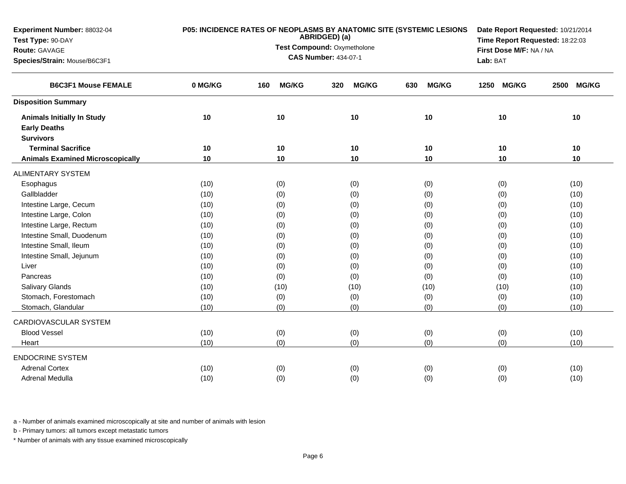| Experiment Number: 88032-04             | P05: INCIDENCE RATES OF NEOPLASMS BY ANATOMIC SITE (SYSTEMIC LESIONS<br>ABRIDGED) (a) |                             |                                                            |                     |                      |                      |  |
|-----------------------------------------|---------------------------------------------------------------------------------------|-----------------------------|------------------------------------------------------------|---------------------|----------------------|----------------------|--|
| Test Type: 90-DAY                       |                                                                                       |                             | Time Report Requested: 18:22:03<br>First Dose M/F: NA / NA |                     |                      |                      |  |
| Route: GAVAGE                           |                                                                                       | Test Compound: Oxymetholone |                                                            |                     |                      |                      |  |
| Species/Strain: Mouse/B6C3F1            |                                                                                       | <b>CAS Number: 434-07-1</b> |                                                            | Lab: BAT            |                      |                      |  |
| <b>B6C3F1 Mouse FEMALE</b>              | 0 MG/KG                                                                               | <b>MG/KG</b><br>160         | <b>MG/KG</b><br>320                                        | <b>MG/KG</b><br>630 | <b>MG/KG</b><br>1250 | <b>MG/KG</b><br>2500 |  |
| <b>Disposition Summary</b>              |                                                                                       |                             |                                                            |                     |                      |                      |  |
| <b>Animals Initially In Study</b>       | 10                                                                                    | 10                          | 10                                                         | 10                  | 10                   | 10                   |  |
| <b>Early Deaths</b>                     |                                                                                       |                             |                                                            |                     |                      |                      |  |
| <b>Survivors</b>                        |                                                                                       |                             |                                                            |                     |                      |                      |  |
| <b>Terminal Sacrifice</b>               | 10                                                                                    | 10                          | 10                                                         | 10                  | 10                   | 10                   |  |
| <b>Animals Examined Microscopically</b> | 10                                                                                    | 10                          | 10                                                         | 10                  | 10                   | 10                   |  |
| <b>ALIMENTARY SYSTEM</b>                |                                                                                       |                             |                                                            |                     |                      |                      |  |
| Esophagus                               | (10)                                                                                  | (0)                         | (0)                                                        | (0)                 | (0)                  | (10)                 |  |
| Gallbladder                             | (10)                                                                                  | (0)                         | (0)                                                        | (0)                 | (0)                  | (10)                 |  |
| Intestine Large, Cecum                  | (10)                                                                                  | (0)                         | (0)                                                        | (0)                 | (0)                  | (10)                 |  |
| Intestine Large, Colon                  | (10)                                                                                  | (0)                         | (0)                                                        | (0)                 | (0)                  | (10)                 |  |
| Intestine Large, Rectum                 | (10)                                                                                  | (0)                         | (0)                                                        | (0)                 | (0)                  | (10)                 |  |
| Intestine Small, Duodenum               | (10)                                                                                  | (0)                         | (0)                                                        | (0)                 | (0)                  | (10)                 |  |
| Intestine Small, Ileum                  | (10)                                                                                  | (0)                         | (0)                                                        | (0)                 | (0)                  | (10)                 |  |
| Intestine Small, Jejunum                | (10)                                                                                  | (0)                         | (0)                                                        | (0)                 | (0)                  | (10)                 |  |
| Liver                                   | (10)                                                                                  | (0)                         | (0)                                                        | (0)                 | (0)                  | (10)                 |  |
| Pancreas                                | (10)                                                                                  | (0)                         | (0)                                                        | (0)                 | (0)                  | (10)                 |  |
| <b>Salivary Glands</b>                  | (10)                                                                                  | (10)                        | (10)                                                       | (10)                | (10)                 | (10)                 |  |
| Stomach, Forestomach                    | (10)                                                                                  | (0)                         | (0)                                                        | (0)                 | (0)                  | (10)                 |  |
| Stomach, Glandular                      | (10)                                                                                  | (0)                         | (0)                                                        | (0)                 | (0)                  | (10)                 |  |
| CARDIOVASCULAR SYSTEM                   |                                                                                       |                             |                                                            |                     |                      |                      |  |
| <b>Blood Vessel</b>                     | (10)                                                                                  | (0)                         | (0)                                                        | (0)                 | (0)                  | (10)                 |  |
| Heart                                   | (10)                                                                                  | (0)                         | (0)                                                        | (0)                 | (0)                  | (10)                 |  |
| <b>ENDOCRINE SYSTEM</b>                 |                                                                                       |                             |                                                            |                     |                      |                      |  |
| <b>Adrenal Cortex</b>                   | (10)                                                                                  | (0)                         | (0)                                                        | (0)                 | (0)                  | (10)                 |  |
| Adrenal Medulla                         | (10)                                                                                  | (0)                         | (0)                                                        | (0)                 | (0)                  | (10)                 |  |

b - Primary tumors: all tumors except metastatic tumors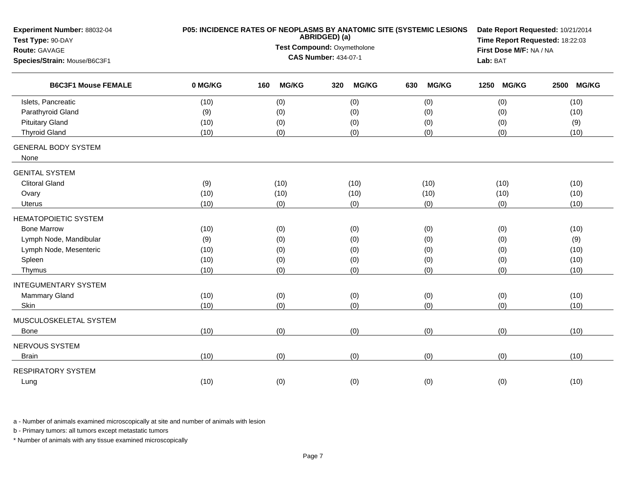| Experiment Number: 88032-04<br>Test Type: 90-DAY |         | P05: INCIDENCE RATES OF NEOPLASMS BY ANATOMIC SITE (SYSTEMIC LESIONS<br>ABRIDGED) (a) | Date Report Requested: 10/21/2014<br>Time Report Requested: 18:22:03<br>First Dose M/F: NA / NA |                     |            |                      |
|--------------------------------------------------|---------|---------------------------------------------------------------------------------------|-------------------------------------------------------------------------------------------------|---------------------|------------|----------------------|
| Route: GAVAGE                                    |         | Test Compound: Oxymetholone                                                           |                                                                                                 |                     |            |                      |
| Species/Strain: Mouse/B6C3F1                     |         | <b>CAS Number: 434-07-1</b>                                                           | Lab: BAT                                                                                        |                     |            |                      |
| <b>B6C3F1 Mouse FEMALE</b>                       | 0 MG/KG | <b>MG/KG</b><br>160                                                                   | <b>MG/KG</b><br>320                                                                             | <b>MG/KG</b><br>630 | 1250 MG/KG | <b>MG/KG</b><br>2500 |
| Islets, Pancreatic                               | (10)    | (0)                                                                                   | (0)                                                                                             | (0)                 | (0)        | (10)                 |
| Parathyroid Gland                                | (9)     | (0)                                                                                   | (0)                                                                                             | (0)                 | (0)        | (10)                 |
| <b>Pituitary Gland</b>                           | (10)    | (0)                                                                                   | (0)                                                                                             | (0)                 | (0)        | (9)                  |
| <b>Thyroid Gland</b>                             | (10)    | (0)                                                                                   | (0)                                                                                             | (0)                 | (0)        | (10)                 |
| <b>GENERAL BODY SYSTEM</b><br>None               |         |                                                                                       |                                                                                                 |                     |            |                      |
| <b>GENITAL SYSTEM</b>                            |         |                                                                                       |                                                                                                 |                     |            |                      |
| <b>Clitoral Gland</b>                            | (9)     | (10)                                                                                  | (10)                                                                                            | (10)                | (10)       | (10)                 |
| Ovary                                            | (10)    | (10)                                                                                  | (10)                                                                                            | (10)                | (10)       | (10)                 |
| Uterus                                           | (10)    | (0)                                                                                   | (0)                                                                                             | (0)                 | (0)        | (10)                 |
| <b>HEMATOPOIETIC SYSTEM</b>                      |         |                                                                                       |                                                                                                 |                     |            |                      |
| <b>Bone Marrow</b>                               | (10)    | (0)                                                                                   | (0)                                                                                             | (0)                 | (0)        | (10)                 |
| Lymph Node, Mandibular                           | (9)     | (0)                                                                                   | (0)                                                                                             | (0)                 | (0)        | (9)                  |
| Lymph Node, Mesenteric                           | (10)    | (0)                                                                                   | (0)                                                                                             | (0)                 | (0)        | (10)                 |
| Spleen                                           | (10)    | (0)                                                                                   | (0)                                                                                             | (0)                 | (0)        | (10)                 |
| Thymus                                           | (10)    | (0)                                                                                   | (0)                                                                                             | (0)                 | (0)        | (10)                 |
| <b>INTEGUMENTARY SYSTEM</b>                      |         |                                                                                       |                                                                                                 |                     |            |                      |
| Mammary Gland                                    | (10)    | (0)                                                                                   | (0)                                                                                             | (0)                 | (0)        | (10)                 |
| Skin                                             | (10)    | (0)                                                                                   | (0)                                                                                             | (0)                 | (0)        | (10)                 |
| MUSCULOSKELETAL SYSTEM                           |         |                                                                                       |                                                                                                 |                     |            |                      |
| Bone                                             | (10)    | (0)                                                                                   | (0)                                                                                             | (0)                 | (0)        | (10)                 |
| NERVOUS SYSTEM                                   |         |                                                                                       |                                                                                                 |                     |            |                      |
| <b>Brain</b>                                     | (10)    | (0)                                                                                   | (0)                                                                                             | (0)                 | (0)        | (10)                 |
| <b>RESPIRATORY SYSTEM</b>                        |         |                                                                                       |                                                                                                 |                     |            |                      |
| Lung                                             | (10)    | (0)                                                                                   | (0)                                                                                             | (0)                 | (0)        | (10)                 |
|                                                  |         |                                                                                       |                                                                                                 |                     |            |                      |

b - Primary tumors: all tumors except metastatic tumors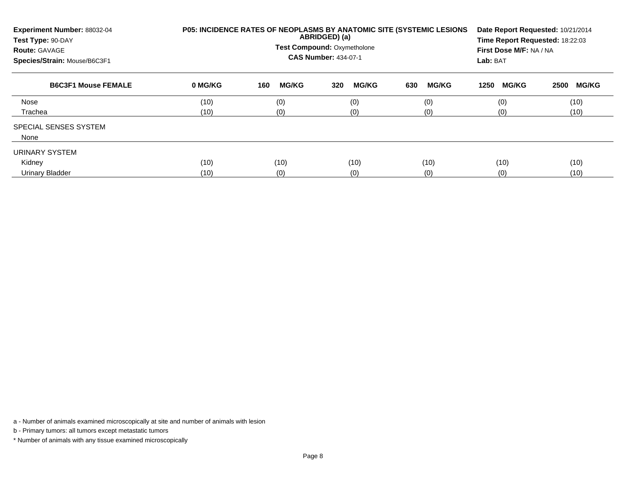| Experiment Number: 88032-04<br>Test Type: 90-DAY<br><b>Route: GAVAGE</b><br>Species/Strain: Mouse/B6C3F1 |         | P05: INCIDENCE RATES OF NEOPLASMS BY ANATOMIC SITE (SYSTEMIC LESIONS<br>ABRIDGED) (a)<br><b>Test Compound: Oxymetholone</b><br><b>CAS Number: 434-07-1</b> | Date Report Requested: 10/21/2014<br>Time Report Requested: 18:22:03<br>First Dose M/F: NA / NA<br>Lab: BAT |                     |                      |                      |
|----------------------------------------------------------------------------------------------------------|---------|------------------------------------------------------------------------------------------------------------------------------------------------------------|-------------------------------------------------------------------------------------------------------------|---------------------|----------------------|----------------------|
| <b>B6C3F1 Mouse FEMALE</b>                                                                               | 0 MG/KG | <b>MG/KG</b><br>160                                                                                                                                        | <b>MG/KG</b><br>320                                                                                         | <b>MG/KG</b><br>630 | <b>MG/KG</b><br>1250 | <b>MG/KG</b><br>2500 |
| Nose                                                                                                     | (10)    | (0)                                                                                                                                                        | (0)                                                                                                         | (0)                 | (0)                  | (10)                 |
| Trachea                                                                                                  | (10)    | (0)                                                                                                                                                        | (0)                                                                                                         | (0)                 | (0)                  | (10)                 |
| <b>SPECIAL SENSES SYSTEM</b><br>None                                                                     |         |                                                                                                                                                            |                                                                                                             |                     |                      |                      |
| URINARY SYSTEM                                                                                           |         |                                                                                                                                                            |                                                                                                             |                     |                      |                      |
| Kidney                                                                                                   | (10)    | (10)                                                                                                                                                       | (10)                                                                                                        | (10)                | (10)                 | (10)                 |
| Urinary Bladder                                                                                          | (10)    | (0)                                                                                                                                                        | (0)                                                                                                         | (0)                 | (0)                  | (10)                 |

b - Primary tumors: all tumors except metastatic tumors